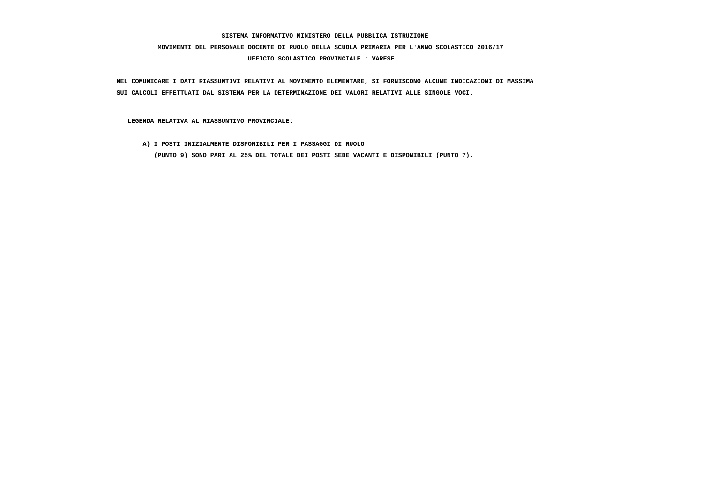# **MOVIMENTI DEL PERSONALE DOCENTE DI RUOLO DELLA SCUOLA PRIMARIA PER L'ANNO SCOLASTICO 2016/17**

## **UFFICIO SCOLASTICO PROVINCIALE : VARESE**

 **NEL COMUNICARE I DATI RIASSUNTIVI RELATIVI AL MOVIMENTO ELEMENTARE, SI FORNISCONO ALCUNE INDICAZIONI DI MASSIMA SUI CALCOLI EFFETTUATI DAL SISTEMA PER LA DETERMINAZIONE DEI VALORI RELATIVI ALLE SINGOLE VOCI.**

 **LEGENDA RELATIVA AL RIASSUNTIVO PROVINCIALE:**

 **A) I POSTI INIZIALMENTE DISPONIBILI PER I PASSAGGI DI RUOLO**

 **(PUNTO 9) SONO PARI AL 25% DEL TOTALE DEI POSTI SEDE VACANTI E DISPONIBILI (PUNTO 7).**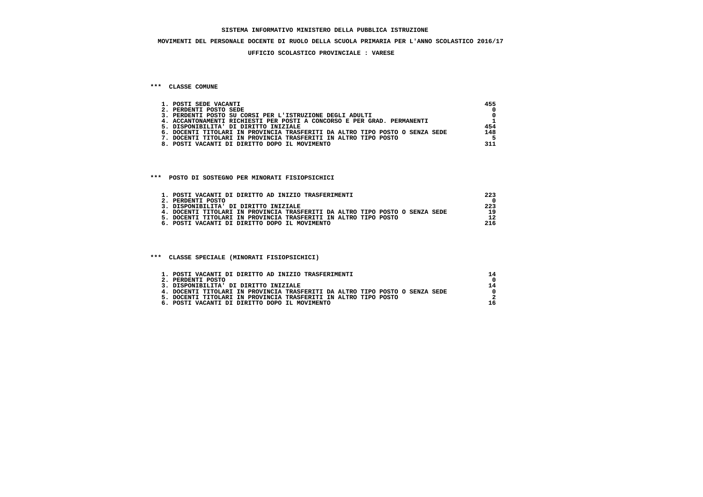#### **MOVIMENTI DEL PERSONALE DOCENTE DI RUOLO DELLA SCUOLA PRIMARIA PER L'ANNO SCOLASTICO 2016/17**

#### **UFFICIO SCOLASTICO PROVINCIALE : VARESE**

#### **\*\*\* CLASSE COMUNE**

| 1. POSTI SEDE VACANTI                                                        | 455 |
|------------------------------------------------------------------------------|-----|
| 2. PERDENTI POSTO SEDE                                                       |     |
| 3. PERDENTI POSTO SU CORSI PER L'ISTRUZIONE DEGLI ADULTI                     |     |
| 4. ACCANTONAMENTI RICHIESTI PER POSTI A CONCORSO E PER GRAD. PERMANENTI      |     |
| 5. DISPONIBILITA' DI DIRITTO INIZIALE                                        | 454 |
| 6. DOCENTI TITOLARI IN PROVINCIA TRASFERITI DA ALTRO TIPO POSTO O SENZA SEDE | 148 |
| DOCENTI TITOLARI IN PROVINCIA TRASFERITI IN ALTRO TIPO POSTO                 |     |
| 8. POSTI VACANTI DI DIRITTO DOPO IL MOVIMENTO                                | 311 |

#### **\*\*\* POSTO DI SOSTEGNO PER MINORATI FISIOPSICHICI**

| 1. POSTI VACANTI DI DIRITTO AD INIZIO TRASFERIMENTI                          | 223 |
|------------------------------------------------------------------------------|-----|
| 2. PERDENTI POSTO                                                            |     |
| 3. DISPONIBILITA' DI DIRITTO INIZIALE                                        | 223 |
| 4. DOCENTI TITOLARI IN PROVINCIA TRASFERITI DA ALTRO TIPO POSTO O SENZA SEDE | 19  |
| 5. DOCENTI TITOLARI IN PROVINCIA TRASFERITI IN ALTRO TIPO POSTO              |     |
| 6. POSTI VACANTI DI DIRITTO DOPO IL MOVIMENTO                                | 216 |

#### **\*\*\* CLASSE SPECIALE (MINORATI FISIOPSICHICI)**

| 1. POSTI VACANTI DI DIRITTO AD INIZIO TRASFERIMENTI                          |    |
|------------------------------------------------------------------------------|----|
| 2. PERDENTI POSTO                                                            |    |
| 3. DISPONIBILITA' DI DIRITTO INIZIALE                                        | 14 |
| 4. DOCENTI TITOLARI IN PROVINCIA TRASFERITI DA ALTRO TIPO POSTO O SENZA SEDE |    |
| 5. DOCENTI TITOLARI IN PROVINCIA TRASFERITI IN ALTRO TIPO POSTO              |    |
| 6. POSTI VACANTI DI DIRITTO DOPO IL MOVIMENTO                                |    |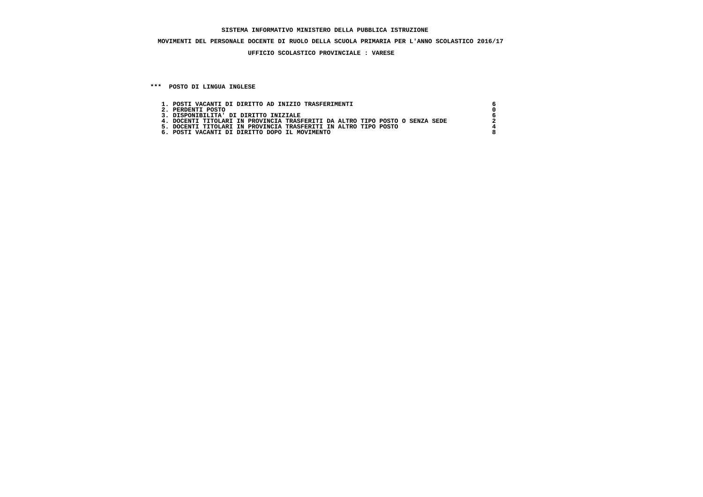## **MOVIMENTI DEL PERSONALE DOCENTE DI RUOLO DELLA SCUOLA PRIMARIA PER L'ANNO SCOLASTICO 2016/17**

### **UFFICIO SCOLASTICO PROVINCIALE : VARESE**

 **\*\*\* POSTO DI LINGUA INGLESE**

| 1. POSTI VACANTI DI DIRITTO AD INIZIO TRASFERIMENTI                          |  |
|------------------------------------------------------------------------------|--|
| 2. PERDENTI POSTO                                                            |  |
| 3. DISPONIBILITA' DI DIRITTO INIZIALE                                        |  |
| 4. DOCENTI TITOLARI IN PROVINCIA TRASFERITI DA ALTRO TIPO POSTO O SENZA SEDE |  |
| 5. DOCENTI TITOLARI IN PROVINCIA TRASFERITI IN ALTRO TIPO POSTO              |  |
| 6. POSTI VACANTI DI DIRITTO DOPO IL MOVIMENTO                                |  |